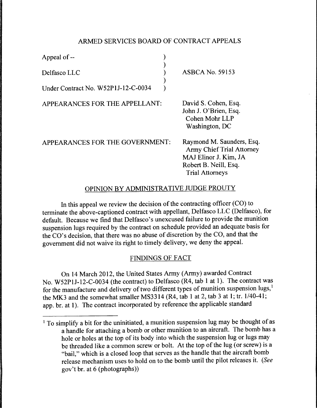# ARMED SERVICES BOARD OF CONTRACT APPEALS

) )  $\lambda$ )  $\lambda$ 

Appeal of --

Delfasco LLC

Under Contract No. W52PIJ-12-C-0034

APPEARANCES FOR THE APPELLANT:

ASBCA No. 59153

David S. Cohen, Esq. John J. O'Brien, Esq. Cohen Mohr LLP Washington, DC

APPEARANCES FOR THE GOVERNMENT:

Raymond M. Saunders, Esq. Army Chief Trial Attorney MAJ Elinor J. Kim, JA Robert B. Neill, Esq. Trial Attorneys

# OPINION BY ADMINISTRATIVE JUDGE PROUTY

In this appeal we review the decision of the contracting officer (CO) to terminate the above-captioned contract with appellant, Delfasco LLC (Delfasco ), for default. Because we find that Delfasco's unexcused failure to provide the munition suspension lugs required by the contract on schedule provided an adequate basis for the CO's decision, that there was no abuse of discretion by the CO, and that the government did not waive its right to timely delivery, we deny the appeal.

# FINDINGS OF FACT

On 14 March 2012, the United States Army (Army) awarded Contract No. W52PIJ-12-C-0034 (the contract) to Delfasco (R4, tab 1 at 1). The contract was for the manufacture and delivery of two different types of munition suspension lugs,<sup>1</sup> the MK3 and the somewhat smaller MS3314 (R4, tab 1 at 2, tab 3 at 1; tr.  $1/40-41$ ; app. br. at 1). The contract incorporated by reference the applicable standard

<sup>&</sup>lt;sup>1</sup> To simplify a bit for the uninitiated, a munition suspension lug may be thought of as a handle for attaching a bomb or other munition to an aircraft. The bomb has a hole or holes at the top of its body into which the suspension lug or lugs may be threaded like a common screw or bolt. At the top of the lug (or screw) is a "bail," which is a closed loop that serves as the handle that the aircraft bomb release mechanism uses to hold on to the bomb until the pilot releases it. (See gov't br. at 6 (photographs))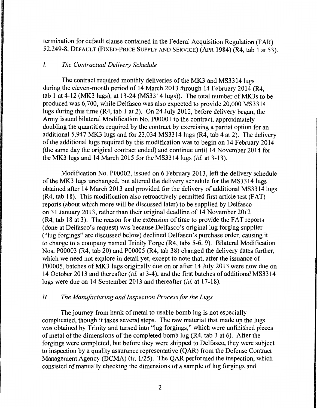termination for default clause contained in the Federal Acquisition Regulation (FAR) 52.249-8, DEFAULT (FIXED-PRICE SUPPLY AND SERVICE) (APR 1984) (R4, tab 1 at 53).

### I. *The Contractual Delivery Schedule*

The contract required monthly deliveries of the MK3 and MS3314 lugs during the eleven-month period of 14 March 2013 through 14 February 2014 (R4, tab 1 at 4-12 (MK3 lugs), at 13-24 (MS3314 lugs)). The total number of MK3s to be produced was 6,700, while Delfasco was also expected to provide 20,000 MS3314 lugs during this time (R4, tab 1 at 2). On 24 July 2012, before delivery began, the Army issued bilateral Modification No. POOOOl to the contract, approximately doubling the quantities required by the contract by exercising a partial option for an additional 5,947 MK3 lugs and for 23,034 MS3314 lugs (R4, tab 4 at 2). The delivery of the additional lugs required by this modification was to begin on 14 February 2014 (the same day the original contract ended) and continue until 14 November 2014 for the MK.3 lugs and 14 March 2015 for the MS3314 lugs *(id.* at 3-13).

Modification No. P00002, issued on 6 February 2013, left the delivery schedule of the MK.3 lugs unchanged, but altered the delivery schedule for the MS3314 lugs obtained after 14 March 2013 and provided for the delivery of additional MS3314 lugs (R4, tab 18). This modification also retroactively permitted first article test (FAT) reports (about which more will be discussed later) to be supplied by Delfasco on 31 January 2013, rather than their original deadline of 14 November 2012 (R4, tab 18 at 3). The reason for the extension of time to provide the FAT reports (done at Delfasco's request) was because Delfasco's original lug forging supplier ("lug forgings" are discussed below) declined Delfasco's purchase order, causing it to change to a company named Trinity Forge (R4, tabs 5-6, 9). Bilateral Modification Nos. P00003 (R4, tab 20) and P00005 (R4, tab 38) changed the delivery dates further, which we need not explore in detail yet, except to note that, after the issuance of P00005, batches of MK3 lugs originally due on or after 14 July 2013 were now due on 14 October 2013 and thereafter *(id.* at 3-4 ), and the first batches of additional MS3314 lugs were due on 14 September 2013 and thereafter *(id.* at 17-18).

### *II. The Manufacturing and Inspection Process for the Lugs*

The journey from hunk of metal to usable bomb lug is not especially complicated, though it takes several steps. The raw material that made up the lugs was obtained by Trinity and turned into "lug forgings," which were unfinished pieces of metal of the dimensions of the completed bomb lug (R4, tab 3 at 6). After the forgings were completed, but before they were shipped to Delfasco, they were subject to inspection by a quality assurance representative (QAR) from the Defense Contract Management Agency (DCMA) (tr. 1/25). The QAR performed the inspection, which consisted of manually checking the dimensions of a sample of lug forgings and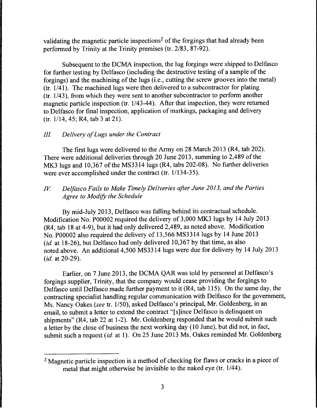validating the magnetic particle inspections<sup>2</sup> of the forgings that had already been performed by Trinity at the Trinity premises (tr. 2/83, 87-92).

Subsequent to the DCMA inspection, the lug forgings were shipped to Delfasco for further testing by Delfasco (including the destructive testing of a sample of the forgings) and the machining of the lugs (i.e., cutting the screw grooves into the metal) (tr.  $1/41$ ). The machined lugs were then delivered to a subcontractor for plating (tr. 1/43), from which they were sent to another subcontractor to perform another magnetic particle inspection (tr. 1/43-44). After that inspection, they were returned to Delfasco for final inspection, application of markings, packaging and delivery (tr. 1114, 45; R4, tab 3 at 21).

### *Ill. Delivery of Lugs under the Contract*

The first lugs were delivered to the Army on 28 March 2013 (R4, tab 202). There were additional deliveries through 20 June 2013, summing to 2,489 of the MK3 lugs and 10,367 of the MS3314 lugs (R4, tabs 202-08). No further deliveries were ever accomplished under the contract (tr. 1/134-35).

# *IV.* Delfasco Fails to Make Timely Deliveries after June 2013, and the Parties *Agree to Modify the Schedule*

By mid-July 2013, Delfasco was falling behind its contractual schedule. Modification No. P00002 required the delivery of 3,000 MK3 lugs by 14 July 2013 (R4, tab 18 at 4-9), but it had only delivered 2,489, as noted above. Modification No. P00002 also required the delivery of 13,566 MS3314 lugs by 14 June 2013 *(id.* at 18-26), but Delfasco had only delivered 10,367 by that time, as also noted above. An additional 4,500 MS3314 lugs were due for delivery by 14 July 2013 *(id.* at 20-29).

Earlier, on 7 June 2013, the DCMA QAR was told by personnel at Delfasco's forgings supplier, Trinity, that the company would cease providing the forgings to Delfasco until Delfasco made further payment to it (R4, tab 115). On the same day, the contracting specialist handling regular communication with Delfasco for the government, Ms. Nancy Oakes *(see* tr. 1/50), asked Delfasco's principal, Mr. Goldenberg, in an email, to submit a letter to extend the contract "[ s ]ince Delfasco is delinquent on shipments" (R4, tab 22 at 1-2). Mr. Goldenberg responded that he would submit such a letter by the close of business the next working day (10 June), but did not, in fact, submit such a request *(id.* at 1). On 25 June 2013 Ms. Oakes reminded Mr. Goldenberg

<sup>&</sup>lt;sup>2</sup> Magnetic particle inspection is a method of checking for flaws or cracks in a piece of metal that might otherwise be invisible to the naked eye (tr.  $1/44$ ).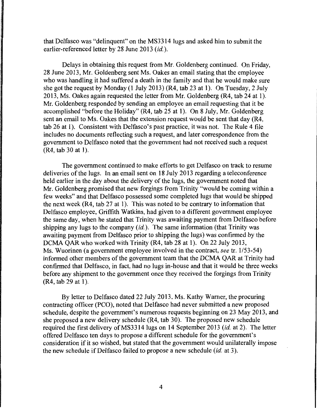that Delfasco was "delinquent" on the MS3314 lugs and asked him to submit the earlier-referenced letter by 28 June 2013 *(id.).* 

Delays in obtaining this request from Mr. Goldenberg continued. On Friday, 28 June 2013, Mr. Goldenberg sent Ms. Oakes an email stating that the employee who was handling it had suffered a death in the family and that he would make sure she got the request by Monday (1 July 2013) (R4, tab 23 at 1). On Tuesday, 2 July 2013, Ms. Oakes again requested the letter from Mr. Goldenberg (R4, tab 24 at 1 ). Mr. Goldenberg responded by sending an employee an email requesting that it be accomplished "before the Holiday" (R4, tab 25 at 1). On 8 July, Mr. Goldenberg sent an email to Ms. Oakes that the extension request would be sent that day (R4, tab 26 at 1). Consistent with Delfasco's past practice, it was not. The Rule 4 file includes no documents reflecting such a request, and later correspondence from the government to Delfasco noted that the government had not received such a request  $(R4, tab 30 at 1).$ 

The government continued to make efforts to get Delfasco on track to resume deliveries of the lugs. In an email sent on 18 July 2013 regarding a teleconference held earlier in the day about the delivery of the lugs, the government noted that Mr. Goldenberg promised that new forgings from Trinity "would be coming within a few weeks" and that Delfasco possessed some completed lugs that would be shipped the next week ( $R4$ , tab 27 at 1). This was noted to be contrary to information that Delfasco employee, Griffith Watkins, had given to a different government employee the same day, when he stated that Trinity was awaiting payment from Delfasco before shipping any lugs to the company *(id.).* The same information (that Trinity was awaiting payment from Delfasco prior to shipping the lugs) was confirmed by the DCMA QAR who worked with Trinity (R4, tab 28 at 1). On 22 July 2013, Ms. Wuorinen (a government employee involved in the contract, see tr. 1/53-54) informed other members of the government team that the DCMA QAR at Trinity had confirmed that Delfasco, in fact, had no lugs in-house and that it would be three weeks before any shipment to the government once they received the forgings from Trinity (R4, tab 29 at 1).

By letter to Delfasco dated 22 July 2013, Ms. Kathy Warner, the procuring contracting officer (PCO), noted that Delfasco had never submitted a new proposed schedule, despite the government's numerous requests beginning on 23 May 2013, and she proposed a new delivery schedule (R4, tab 30). The proposed new schedule required the first delivery of MS3314 lugs on 14 September 2013 (id. at 2). The letter offered Delfasco ten days to propose a different schedule for the government's consideration if it so wished, but stated that the government would unilaterally impose the new schedule if Delfasco failed to propose a new schedule *(id.* at 3 ).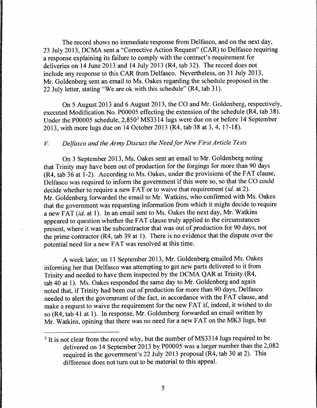The record shows no immediate response from Delfasco, and on the next day, 23 July 2013, DCMA sent a "Corrective Action Request" (CAR) to Delfasco requiring a response explaining its failure to comply with the contract's requirement for deliveries on 14 June 2013 and 14 July 2013 (R4, tab 32). The record does not include any response to this CAR from Delfasco. Nevertheless, on 31 July 2013, Mr. Goldenberg sent an email to Ms. Oakes regarding the schedule proposed in the 22 July letter, stating "We are ok with this schedule" (R4, tab 31).

On 5 August 2013 and 6 August 2013, the CO and Mr. Goldenberg, respectively, executed Modification No. POOOOS effecting the extension of the schedule (R4, tab 38). Under the POOOOS schedule, 2,8503 MS3314 lugs were due on or before 14 September 2013, with more lugs due on 14 October 2013 (R4, tab 38 at 3, 4, 17-18).

### *V. Delfasco and the Army Discuss the Need for New First Article Tests*

On 3 September 2013, Ms. Oakes sent an email to Mr. Goldenberg noting that Trinity may have been out of production for the forgings for more than 90 days (R4, tab 36 at 1-2). According to Ms. Oakes, under the provisions of the FAT clause, Delfasco was required to inform the government if this were so, so that the CO could decide whether to require a new FAT or to waive that requirement *(id.* at 2). Mr. Goldenberg forwarded the email to Mr. Watkins, who confirmed with Ms. Oakes that the government was requesting information from which it might decide to require a new FAT *(id.* at 1). In an email sent to Ms. Oakes the next day, Mr. Watkins appeared to question whether the FAT clause truly applied to the circumstances present, where it was the subcontractor that was out of production for 90 days, not the prime contractor (R4, tab 39 at I). There is no evidence that the dispute over the potential need for a new FAT was resolved at this time.

A week later, on 11 September 2013, Mr. Goldenberg emailed Ms. Oakes informing her that Delfasco was attempting to get new parts delivered to it from Trinity and needed to have them inspected by the DCMA QAR at Trinity (R4, tab 40 at 1). Ms. Oakes responded the same day to Mr. Goldenberg and again noted that, if Trinity had been out of production for more than 90 days, Delfasco needed to alert the government of the fact, in accordance with the FAT clause, and make a request to waive the requirement for the new FAT if, indeed, it wished to do so (R4, tab 41 at 1). In response, Mr. Goldenberg forwarded an email written by Mr. Watkins, opining that there was no need for a new FAT on the MK3 lugs, but

<sup>&</sup>lt;sup>3</sup> It is not clear from the record why, but the number of MS3314 lugs required to be delivered on 14 September 2013 by POOOOS was a larger number than the 2,082 required in the government's 22 July 2013 proposal (R4, tab 30 at 2). This difference does not turn out to be material to this appeal.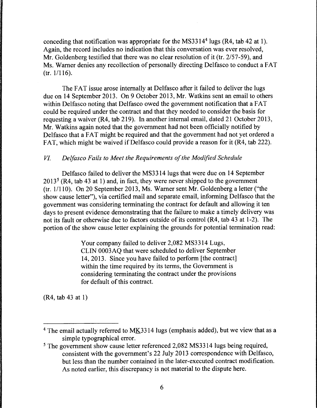conceding that notification was appropriate for the MS33144 lugs (R4, tab 42 at 1). Again, the record includes no indication that this conversation was ever resolved, Mr. Goldenberg testified that there was no clear resolution of it (tr. 2/57-59), and Ms. Warner denies any recollection of personally directing Delfasco to conduct a FAT  $(tr. 1/116).$ 

The FAT issue arose internally at Delfasco after it failed to deliver the lugs due on 14 September 2013. On 9 October 2013, Mr. Watkins sent an email to others within Delfasco noting that Delfasco owed the government notification that a FAT could be required under the contract and that they needed to consider the basis for requesting a waiver (R4, tab 219). In another internal email, dated 21 October 2013, Mr. Watkins again noted that the government had not been officially notified by Delfasco that a FAT might be required and that the government had not yet ordered a FAT, which might be waived if Delfasco could provide a reason for it (R4, tab 222).

### *VI. Delfasco Fails to Meet the Requirements of the Modified Schedule*

Delfasco failed to deliver the MS3314 lugs that were due on 14 September  $2013<sup>5</sup>$  (R4, tab 43 at 1) and, in fact, they were never shipped to the government (tr. 1/110). On 20 September 2013, Ms. Warner sent Mr. Goldenberg a letter ("the show cause letter"), via certified mail and separate email, informing Delfasco that the government was considering terminating the contract for default and allowing it ten days to present evidence demonstrating that the failure to make a timely delivery was not its fault or otherwise due to factors outside of its control (R4, tab 43 at 1-2). The portion of the show cause letter explaining the grounds for potential termination read:

> Your company failed to deliver 2,082 MS3314 Lugs, CLIN 0003AQ that were scheduled to deliver September 14, 2013. Since you have failed to perform [the contract] within the time required by its terms, the Government is considering terminating the contract under the provisions for default of this contract.

(R4, tab 43 at 1)

<sup>4</sup> The email actually referred to MK3314 lugs (emphasis added), but we view that as a simple typographical error.

<sup>&</sup>lt;sup>5</sup> The government show cause letter referenced 2,082 MS3314 lugs being required, consistent with the government's 22 July 2013 correspondence with Delfasco, but less than the number contained in the later-executed contract modification. As noted earlier, this discrepancy is not material to the dispute here.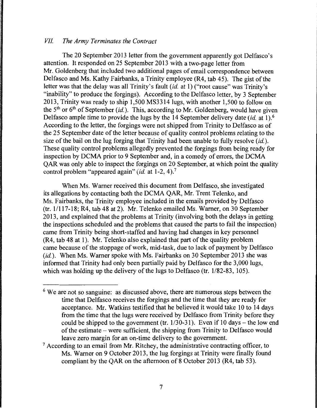### *VII. The Army Terminates the Contract*

The 20 September 2013 letter from the government apparently got Delfasco's attention. It responded on 25 September 2013 with a two-page letter from Mr. Goldenberg that included two additional pages of email correspondence between Delfasco and Ms. Kathy Fairbanks, a Trinity employee (R4, tab 45). The gist of the letter was that the delay was all Trinity's fault *(id.* at 1) ("root cause" was Trinity's "inability" to produce the forgings). According to the Delfasco letter, by 3 September 2013, Trinity was ready to ship 1,500 MS3314 lugs, with another 1,500 to follow on the 5th or 6th of September *(id.).* This, according to Mr. Goldenberg, would have given Delfasco ample time to provide the lugs by the 14 September delivery date *(id.* at 1).6 According to the letter, the forgings were not shipped from Trinity to Delfasco as of the 25 September date of the letter because of quality control problems relating to the size of the bail on the lug forging that Trinity had been unable to fully resolve *(id.).*  These quality control problems allegedly prevented the forgings from being ready for inspection by DCMA prior to 9 September and, in a comedy of errors, the DCMA QAR was only able to inspect the forgings on 20 September, at which point the quality control problem "appeared again" *(id.* at 1-2, 4).<sup>7</sup>

When Ms. Warner received this document from Delfasco, she investigated its allegations by contacting both the DCMA QAR, Mr. Trent Telenko, and Ms. Fairbanks, the Trinity employee included in the emails provided by Delfasco (tr. 11117-18; R4, tab 48 at 2). Mr. Telenko emailed Ms. Warner, on 30 September 2013, and explained that the problems at Trinity (involving both the delays in getting the inspections scheduled and the problems that caused the parts to fail the inspection) came from Trinity being short-staffed and having had changes in key personnel (R4, tab 48 at 1). Mr. Telenko also explained that part of the quality problem came because of the stoppage of work, mid-task, due to lack of payment by Delfasco *(id.).* When Ms. Warner spoke with Ms. Fairbanks on 30 September 2013 she was informed that Trinity had only been partially paid by Delfasco for the 3,000 lugs, which was holding up the delivery of the lugs to Delfasco (tr. 1/82-83, 105).

- <sup>6</sup> We are not so sanguine: as discussed above, there are numerous steps between the time that Delfasco receives the forgings and the time that they are ready for acceptance. Mr. Watkins testified that he believed it would take 10 to 14 days from the time that the lugs were received by Delfasco from Trinity before they could be shipped to the government (tr.  $1/30-31$ ). Even if 10 days – the low end of the estimate - were sufficient, the shipping from Trinity to Delfasco would leave zero margin for an on-time delivery to the government.
- 7 According to an email from Mr. Ritchey, the administrative contracting officer, to Ms. Warner on 9 October 2013, the lug forgings at Trinity were finally found compliant by the QAR on the afternoon of 8 October 2013 (R4, tab 53).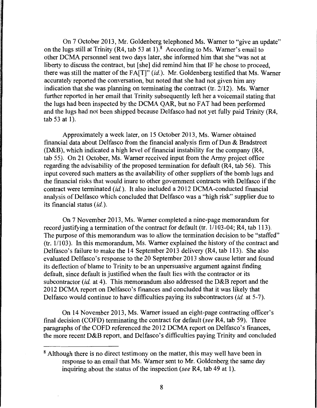On 7 October 2013, Mr. Goldenberg telephoned Ms. Warner to "give an update" on the lugs still at Trinity  $(R4, tab 53 at 1)$ .<sup>8</sup> According to Ms. Warner's email to other DCMA personnel sent two days later, she informed him that she "was not at liberty to discuss the contract, but [she] did remind him that IF he chose to proceed, there was still the matter of the FA[T]" *(id.).* Mr. Goldenberg testified that Ms. Warner accurately reported the conversation, but noted that she had not given him any indication that she was planning on terminating the contract (tr. 2/12). Ms. Warner further reported in her email that Trinity subsequently left her a voicemail stating that the lugs had been inspected by the DCMA QAR, but no FAT had been performed and the lugs had not been shipped because Delfasco had not yet fully paid Trinity (R4, tab 53 at 1).

Approximately a week later, on 15 October 2013, Ms. Warner obtained financial data about Delfasco from the financial analysis firm of Dun & Bradstreet (D&B), which indicated a high level of financial instability for the company (R4, tab 55). On 21 October, Ms. Warner received input from the Army project office regarding the advisability of the proposed termination for default (R4, tab 56). This input covered such matters as the availability of other suppliers of the bomb lugs and the financial risks that would inure to other government contracts with Delfasco if the contract were terminated *(id.).* It also included a 2012 DCMA-conducted financial analysis of Delfasco which concluded that Delfasco was a "high risk" supplier due to its financial status *(id.).* 

On 7 November 2013, Ms. Warner completed a nine-page memorandum for record justifying a termination of the contract for default (tr. 1/103-04; R4, tab 113). The purpose of this memorandum was to allow the termination decision to be "staffed"  $(tr. 1/103)$ . In this memorandum, Ms. Warner explained the history of the contract and Delfasco's failure to make the 14 September 2013 delivery (R4, tab 113). She also evaluated Delfasco's response to the 20 September 2013 show cause letter and found its deflection of blame to Trinity to be an unpersuasive argument against finding default, since default is justified when the fault lies with the contractor or its subcontractor *(id.* at 4). This memorandum also addressed the D&B report and the 2012 DCMA report on Delfasco's finances and concluded that it was likely that Delfasco would continue to have difficulties paying its subcontractors *(id.* at 5-7).

On 14 November 2013, Ms. Warner issued an eight-page contracting officer's final decision (COFD) terminating the contract for default (see R4, tab 59). Three paragraphs of the COFD referenced the 2012 DCMA report on Delfasco's finances, the more recent D&B report, and Delfasco's difficulties paying Trinity and concluded

<sup>&</sup>lt;sup>8</sup> Although there is no direct testimony on the matter, this may well have been in response to an email that Ms. Warner sent to Mr. Goldenberg the same day inquiring about the status of the inspection (see R4, tab 49 at 1).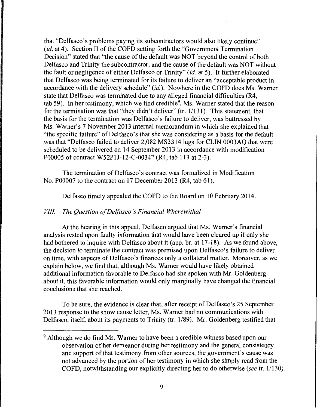that "Delfasco's problems paying its subcontractors would also likely continue" *(id.* at 4). Section II of the COFD setting forth the "Government Termination Decision" stated that "the cause of the default was NOT beyond the control of both Delfasco and Trinity the subcontractor, and the cause of the default was NOT without the fault or negligence of either Delfasco or Trinity" *(id.* at 5). It further elaborated that Delfasco was being terminated for its failure to deliver an "acceptable product in accordance with the delivery schedule" *(id.).* Nowhere in the COFD does Ms. Warner state that Delfasco was terminated due to any alleged financial difficulties (R4, tab 59). In her testimony, which we find credible<sup>9</sup>, Ms. Warner stated that the reason for the termination was that "they didn't deliver" (tr. 1/131). This statement, that the basis for the termination was Delfasco's failure to deliver, was buttressed by Ms. Warner's 7 November 2013 internal memorandum in which she explained that "the specific failure" of Delfasco's that she was considering as a basis for the default was that "Delfasco failed to deliver 2,082 MS3314 lugs for CLIN 0003AQ that were scheduled to be delivered on 14 September 2013 in accordance with modification P00005 of contract W52PlJ-12-C-0034" (R4, tab 113 at 2-3).

The termination of Delfasco's contract was formalized in Modification No. P00007 to the contract on 17 December 2013 (R4, tab 61).

Delfasco timely appealed the COFD to the Board on 10 February 2014.

#### *VIII. The Question of Delfasco 's Financial Wherewithal*

At the hearing in this appeal, Delfasco argued that Ms. Warner's financial analysis rested upon faulty information that would have been cleared up if only she had bothered to inquire with Delfasco about it (app. br. at 17-18). As we found above, the decision to terminate the contract was premised upon Delfasco's failure to deliver on time, with aspects of Delfasco's finances only a collateral matter. Moreover, as we explain below, we find that, although Ms. Warner would have likely obtained additional information favorable to Delfasco had she spoken with Mr. Goldenberg about it, this favorable information would only marginally have changed the financial conclusions that she reached.

To be sure, the evidence is clear that, after receipt of Delfasco's 25 September 2013 response to the show cause letter, Ms. Warner had no communications with Delfasco, itself, about its payments to Trinity (tr. 1/89). Mr. Goldenberg testified that

<sup>&</sup>lt;sup>9</sup> Although we do find Ms. Warner to have been a credible witness based upon our observation of her demeanor during her testimony and the general consistency and support of that testimony from other sources, the government's cause was not advanced by the portion of her testimony in which she simply read from the COFD, notwithstanding our explicitly directing her to do otherwise *(see* tr. 1/130).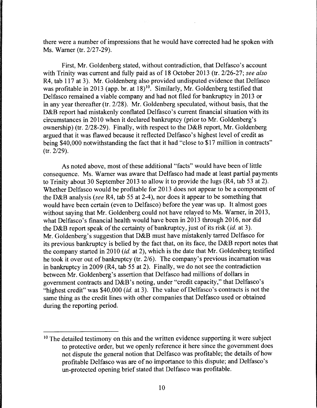there were a number of impressions that he would have corrected had he spoken with Ms. Warner (tr. 2/27-29).

First, Mr. Goldenberg stated, without contradiction, that Delfasco's account with Trinity was current and fully paid as of 18 October 2013 (tr. 2/26-27; *see also*  R4, tab 117 at 3). Mr. Goldenberg also provided undisputed evidence that Delfasco was profitable in 2013 (app. br. at 18)<sup>10</sup>. Similarly, Mr. Goldenberg testified that Delfasco remained a viable company and had not filed for bankruptcy in 2013 or in any year thereafter (tr. 2/28). Mr. Goldenberg speculated, without basis, that the D&B report had mistakenly conflated Delfasco's current financial situation with its circumstances in 2010 when it declared bankruptcy (prior to Mr. Goldenberg's ownership) (tr. 2/28-29). Finally, with respect to the D&B report, Mr. Goldenberg argued that it was flawed because it reflected Delfasco's highest level of credit as being \$40,000 notwithstanding the fact that it had "close to \$17 million in contracts" (tr. 2/29).

As noted above, most of these additional "facts" would have been of little consequence. Ms. Warner was aware that Delfasco had made at least partial payments to Trinity about 30 September 2013 to allow it to provide the lugs (R4, tab 53 at 2). Whether Delfasco would be profitable for 2013 does not appear to be a component of the D&B analysis *(see* R4, tab 55 at 2-4), nor does it appear to be something that would have been certain (even to Delfasco) before the year was up. It almost goes without saying that Mr. Goldenberg could not have relayed to Ms. Warner, in 2013, what Delfasco's financial health would have been in 2013 through 2016, nor did the D&B report speak of the certainty of bankruptcy, just of its risk *(id.* at 3). Mr. Goldenberg's suggestion that D&B must have mistakenly tarred Delfasco for its previous bankruptcy is belied by the fact that, on its face, the D&B report notes that the company started in 2010 *(id.* at 2), which is the date that Mr. Goldenberg testified he took it over out of bankruptcy (tr. 2/6). The company's previous incarnation was in bankruptcy in 2009 (R4, tab 55 at 2). Finally, we do not see the contradiction between Mr. Goldenberg's assertion that Delfasco had millions of dollars in government contracts and D&B's noting, under "credit capacity," that Delfasco's "highest credit" was \$40,000 *(id.* at 3). The value of Delfasco's contracts is not the same thing as the credit lines with other companies that Delfasco used or obtained during the reporting period.

<sup>&</sup>lt;sup>10</sup> The detailed testimony on this and the written evidence supporting it were subject to protective order, but we openly reference it here since the government does not dispute the general notion that Delfasco was profitable; the details of how profitable Delfasco was are of no importance to this dispute; and Delfasco's un-protected opening brief stated that Delfasco was profitable.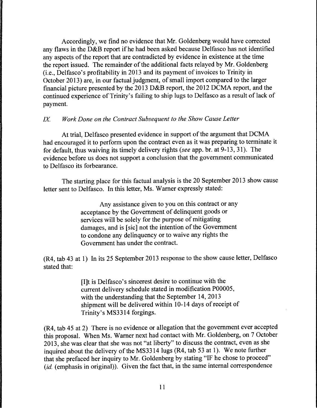Accordingly, we find no evidence that Mr. Goldenberg would have corrected any flaws in the D&B report if he had been asked because Delfasco has not identified any aspects of the report that are contradicted by evidence in existence at the time the report issued. The remainder of the additional facts relayed by Mr. Goldenberg (i.e., Delfasco's profitability in 2013 and its payment of invoices to Trinity in October 2013) are, in our factual judgment, of small import compared to the larger financial picture presented by the 2013 D&B report, the 2012 DCMA report, and the continued experience of Trinity's failing to ship lugs to Delfasco as a result of lack of payment.

# *IX Work Done on the Contract Subsequent to the Show Cause Letter*

At trial, Delfasco presented evidence in support of the argument that DCMA had encouraged it to perform upon the contract even as it was preparing to terminate it for default, thus waiving its timely delivery rights *(see* app. hr. at 9-13, 31). The evidence before us does not support a conclusion that the government communicated to Delfasco its forbearance.

The starting place for this factual analysis is the 20 September 2013 show cause letter sent to Delfasco. In this letter, Ms. Warner expressly stated:

> Any assistance given to you on this contract or any acceptance by the Government of delinquent goods or services will be solely for the purpose of mitigating damages, and is [sic] not the intention of the Government to condone any delinquency or to waive any rights the Government has under the contract.

(R4, tab 43 at 1) In its 25 September 2013 response to the show cause letter, Delfasco stated that:

> [I]t is Delfasco' s sincerest desire to continue with the current delivery schedule stated in modification P00005, with the understanding that the September 14, 2013 shipment will be delivered within 10-14 days of receipt of Trinity's MS3314 forgings.

(R4, tab 45 at 2) There is no evidence or allegation that the government ever accepted this proposal. When Ms. Warner next had contact with Mr. Goldenberg, on 7 October 2013, she was clear that she was not "at liberty" to discuss the contract, even as she inquired about the delivery of the MS3314 lugs (R4, tab 53 at 1). We note further that she prefaced her inquiry to Mr. Goldenberg by stating "IF he chose to proceed" (*id.* (emphasis in original)). Given the fact that, in the same internal correspondence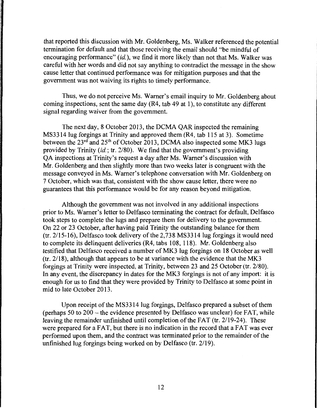that reported this discussion with Mr. Goldenberg, Ms. Walker referenced the potential termination for default and that those receiving the email should "be mindful of encouraging performance" (id.), we find it more likely than not that Ms. Walker was careful with her words and did not say anything to contradict the message in the show cause letter that continued performance was for mitigation purposes and that the government was not waiving its rights to timely performance.

Thus, we do not perceive Ms. Warner's email inquiry to Mr. Goldenberg about coming inspections, sent the same day (R4, tab 49 at 1 ), to constitute any different signal regarding waiver from the government.

The next day, 8 October 2013, the DCMA QAR inspected the remaining MS3314 lug forgings at Trinity and approved them (R4, tab 115 at 3). Sometime between the 23<sup>rd</sup> and 25<sup>th</sup> of October 2013, DCMA also inspected some MK3 lugs provided by Trinity (id.; tr. 2/80). We find that the government's providing QA inspections at Trinity's request a day after Ms. Warner's discussion with Mr. Goldenberg and then slightly more than two weeks later is congruent with the message conveyed in Ms. Warner's telephone conversation with Mr. Goldenberg on 7 October, which was that, consistent with the show cause letter, there were no guarantees that this performance would be for any reason beyond mitigation.

Although the government was not involved in any additional inspections prior to Ms. Warner's letter to Delfasco terminating the contract for default, Delfasco took steps to complete the lugs and prepare them for delivery to the government. On 22 or 23 October, after having paid Trinity the outstanding balance for them (tr. 2115-16), Delfasco took delivery of the 2,738 MS3314 lug forgings it would need to complete its delinquent deliveries (R4, tabs 108, 118). Mr. Goldenberg also testified that Delfasco received a number of MK3 lug forgings on 18 October as well  $(tr. 2/18)$ , although that appears to be at variance with the evidence that the MK3 forgings at Trinity were inspected, at Trinity, between 23 and 25 October (tr. 2/80). In any event, the discrepancy in dates for the MK3 forgings is not of any import: it is enough for us to find that they were provided by Trinity to Delfasco at some point in mid to late October 2013.

Upon receipt of the MS3314 lug forgings, Delfasco prepared a subset of them (perhaps 50 to  $200$  – the evidence presented by Delfasco was unclear) for FAT, while leaving the remainder unfinished until completion of the FAT (tr. 2/19-24). These were prepared for a FAT, but there is no indication in the record that a FAT was ever performed upon them, and the contract was terminated prior to the remainder of the unfinished lug forgings being worked on by Delfasco (tr. 2/19).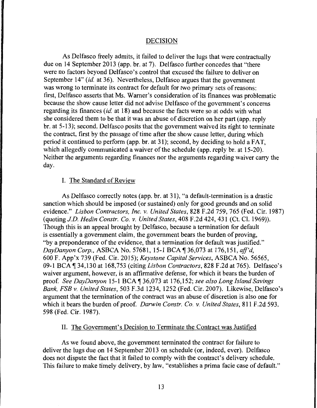#### DECISION

As Delfasco freely admits, it failed to deliver the lugs that were contractually due on 14 September 2013 (app. br. at 7). Delfasco further concedes that ''there were no factors beyond Delfasco's control that excused the failure to deliver on September 14" *(id.* at 36). Nevertheless, Delfasco argues that the government was wrong to terminate its contract for default for two primary sets of reasons: first, Delfasco asserts that Ms. Warner's consideration of its finances was problematic because the show cause letter did not advise Delfasco of the government's concerns regarding its finances *(id.* at 18) and because the facts were so at odds with what she considered them to be that it was an abuse of discretion on her part (app. reply br. at 5-13); second, Delfasco posits that the government waived its right to terminate the contract, first by the passage of time after the show cause letter, during which period it continued to perform (app. br. at 31 ); second, by deciding to hold a FAT, which allegedly communicated a waiver of the schedule (app. reply br. at 15-20). Neither the arguments regarding finances nor the arguments regarding waiver carry the day.

#### I. The Standard of Review

As Delfasco correctly notes (app. br. at 31), "a default-termination is a drastic sanction which should be imposed (or sustained) only for good grounds and on solid evidence." *Lisbon Contractors, Inc.* v. *United States,* 828 F.2d 759, 765 (Fed. Cir. 1987) (quoting *J.D. Hedin Constr. Co.* v. *United States,* 408 F .2d 424, 431 (Ct. Cl. 1969)). Though this is an appeal brought by Delfasco, because a termination for default is essentially a government claim, the government bears the burden of proving, "by a preponderance of the evidence, that a termination for default was justified." *DayDanyon Corp.,* ASBCA No. 57681, 15-1BCA~36,073 at 176,151, *aff'd,*  600 F. App'x 739 (Fed. Cir. 2015); *Keystone Capital Services,* ASBCA No. 56565, 09-1 BCA ~ 34,130 at 168,753 (citing *Lisbon Contractors,* 828 F.2d at 765). Delfasco's waiver argument, however, is an affirmative defense, for which it bears the burden of proof. *See DayDanyon* 15-1 BCA ~ 36,073 at 176, 152; *see also Long Island Savings Bank, FSB* v. *United States,* 503 F.3d 1234, 1252 (Fed. Cir. 2007). Likewise, Delfasco's argument that the termination of the contract was an abuse of discretion is also one for which it bears the burden of proof. *Darwin Constr. Co.* v. *United States,* 811 F .2d 593, 598 (Fed. Cir. 1987).

#### II. The Government's Decision to Terminate the Contract was Justified

As we found above, the government terminated the contract for failure to deliver the lugs due on 14 September 2013 on schedule (or, indeed, ever). Delfasco does not dispute the fact that it failed to comply with the contract's delivery schedule. This failure to make timely delivery, by law, "establishes a prima facie case of default."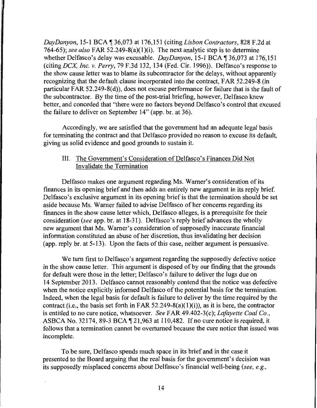*DayDanyon, 15-1 BCA* | 36,073 at 176,151 (citing *Lisbon Contractors, 828 F.2d at* 764-65); *see also* FAR 52.249-8(a)(1)(i). The next analytic step is to determine whether Delfasco's delay was excusable. *DayDanyon*, 15-1 BCA ¶ 36,073 at 176,151 (citing *DCX Inc.* v. *Perry,* 79 F.3d 132, 134 (Fed. Cir. 1996)). Delfasco's response to the show cause letter was to blame its subcontractor for the delays, without apparently recognizing that the default clause incorporated into the contract, FAR 52.249-8 (in particular FAR 52.249-8(d)), does not excuse performance for failure that is the fault of the subcontractor. By the time of the post-trial briefing, however, Delfasco knew better, and conceded that "there were no factors beyond Delfasco's control that excused the failure to deliver on September 14" (app. br. at 36).

Accordingly, we are satisfied that the government had an adequate legal basis for terminating the contract and that Delfasco provided no reason to excuse its default, giving us solid evidence and good grounds to sustain it.

## III. The Government's Consideration of Delfasco's Finances Did Not Invalidate the Termination

Delfasco makes one argument regarding Ms. Warner's consideration of its finances in its opening brief and then adds an entirely new argument in its reply brief. Delfasco's exclusive argument in its opening brief is that the termination should be set aside because Ms. Warner failed to advise Delfasco of her concerns regarding its finances in the show cause letter which, Delfasco alleges, is a prerequisite for their consideration *(see* app. br. at 18-31 ). Delfasco's reply brief advances the wholly new argument that Ms. Warner's consideration of supposedly inaccurate financial information constituted an abuse of her discretion, thus invalidating her decision (app. reply br. at 5-13). Upon the facts of this case, neither argument is persuasive.

We turn first to Delfasco's argument regarding the supposedly defective notice in the show cause letter. This argument is disposed of by our finding that the grounds for default were those in the letter; Delfasco's failure to deliver the lugs due on 14 September 2013. Delfasco cannot reasonably contend that the notice was defective when the notice explicitly informed Delfasco of the potential basis for the termination. Indeed, when the legal basis for default is failure to deliver by the time required by the contract (i.e., the basis set forth in FAR 52.249-8(a)(1)(i)), as it is here, the contractor is entitled to no cure notice, whatsoever. *See* FAR 49.402-3(c); *Lafayette Coal Co.,*  ASBCA No. 32174, 89-3 BCA  $\P$  21,963 at 110,482. If no cure notice is required, it follows that a termination cannot be overturned because the cure notice that issued was incomplete.

To be sure, Delfasco spends much space in its brief and in the case it presented to the Board arguing that the real basis for the government's decision was its supposedly misplaced concerns about Delfasco's financial well-being *(see, e.g.,*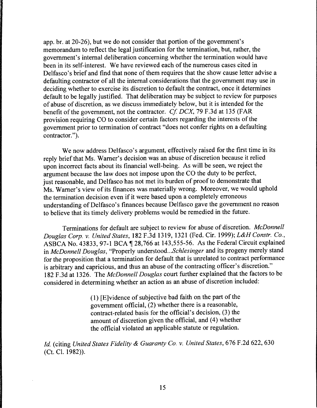app. br. at 20-26), but we do not consider that portion of the government's memorandum to reflect the legal justification for the termination, but, rather, the government's internal deliberation concerning whether the termination would have been in its self-interest. We have reviewed each of the numerous cases cited in Delfasco's brief and find that none of them requires that the show cause letter advise a defaulting contractor of all the internal considerations that the government may use in deciding whether to exercise its discretion to default the contract, once it determines default to be legally justified. That deliberation may be subject to review for purposes of abuse of discretion, as we discuss immediately below, but it is intended for the benefit of the government, not the contractor. *Cf DCX,* 79 F.3d at 135 (FAR provision requiring CO to consider certain factors regarding the interests of the government prior to termination of contract "does not confer rights on a defaulting contractor.").

We now address Delfasco's argument, effectively raised for the first time in its reply brief that Ms. Warner's decision was an abuse of discretion because it relied upon incorrect facts about its financial well-being. As will be seen, we reject the argument because the law does not impose upon the CO the duty to be perfect, just reasonable, and Delfasco has not met its burden of proof to demonstrate that Ms. Warner's view of its finances was materially wrong. Moreover, we would uphold the termination decision even if it were based upon a completely erroneous understanding of Delfasco's finances because Delfasco gave the government no reason to believe that its timely delivery problems would be remedied in the future.

Terminations for default are subject to review for abuse of discretion. *McDonnell Douglas Corp. v. United States,* 182 F.3d 1319, 1321 (Fed. Cir. 1999); *L&H Constr. Co.,*  ASBCA No. 43833, 97-1 BCA $\P$ 28,766 at 143,555-56. As the Federal Circuit explained in *McDonnell Douglas,* "Properly *understood ... Schlesinger* and its progeny merely stand for the proposition that a termination for default that is unrelated to contract performance is arbitrary and capricious, and thus an abuse of the contracting officer's discretion." l 82 F .3d at 1326. The *McDonnell Douglas* court further explained that the factors to be considered in determining whether an action as an abuse of discretion included:

> (1) [E]vidence of subjective bad faith on the part of the government official, (2) whether there is a reasonable, contract-related basis for the official's decision, (3) the amount of discretion given the official, and (4) whether the official violated an applicable statute or regulation.

*Id.* (citing *United States Fidelity* & *Guaranty Co. v. United States,* 676 F.2d 622, 630 (Ct. Cl. 1982)).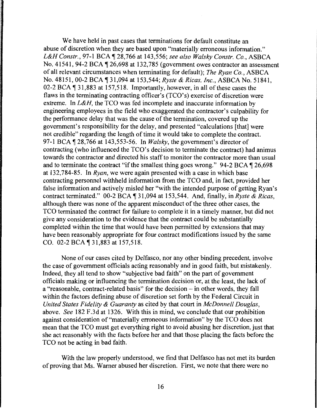We have held in past cases that terminations for default constitute an abuse of discretion when they are based upon "materially erroneous information." *L&H Constr.,* 97-1 BCA ~ 28,766 at 143,556; *see also Walsky Constr. Co.,* ASBCA No. 41541, 94-2 BCA  $\P$  26,698 at 132,785 (government owes contractor an assessment of all relevant circumstances when terminating for default); *The Ryan Co.,* ASBCA No. 48151, 00-2 BCA ~ 31,094 at 153,544; *Ryste* & *Ricas, Inc.,* ASBCA No. 51841, 02-2 BCA  $\P$  31,883 at 157,518. Importantly, however, in all of these cases the flaws in the terminating contracting officer's (TCO's) exercise of discretion were extreme. In *L&H,* the TCO was fed incomplete and inaccurate information by engineering employees in the field who exaggerated the contractor's culpability for the performance delay that was the cause of the termination, covered up the government's responsibility for the delay, and presented "calculations [that] were not credible" regarding the length of time it would take to complete the contract. 97-1BCA~28,766 at 143,553-56. In *Walsky,* the government's director of contracting (who influenced the TCO's decision to terminate the contract) had animus towards the contractor and directed his staff to monitor the contractor more than usual and to terminate the contract "if the smallest thing goes wrong." 94-2 BCA  $\P$  26,698 at 132,784-85. In *Ryan,* we were again presented with a case in which base contracting personnel withheld information from the TCO and, in fact, provided her false information and actively misled her "with the intended purpose of getting Ryan's contract terminated." 00-2 BCA ¶ 31,094 at 153,544. And, finally, in *Ryste & Ricas*, although there was none of the apparent misconduct of the three other cases, the TCO terminated the contract for failure to complete it in a timely manner, but did not give any consideration to the evidence that the contract could be substantially completed within the time that would have been permitted by extensions that may have been reasonably appropriate for four contract modifications issued by the same CO. 02-2 BCA ¶ 31,883 at 157,518.

None of our cases cited by Delfasco, nor any other binding precedent, involve the case of government officials acting reasonably and in good faith, but mistakenly. Indeed, they all tend to show "subjective bad faith" on the part of government officials making or influencing the termination decision or, at the least, the lack of a "reasonable, contract-related basis" for the decision – in other words, they fall within the factors defining abuse of discretion set forth by the Federal Circuit in *United States Fidelity* & *Guaranty* as cited by that court in *McDonnell Douglas,*  above. *See* 182 F .3d at 1326. With this in mind, we conclude that our prohibition against consideration of "materially erroneous information" by the TCO does not mean that the TCO must get everything right to avoid abusing her discretion, just that she act reasonably with the facts before her and that those placing the facts before the TCO not be acting in bad faith.

With the law properly understood, we find that Delfasco has not met its burden of proving that Ms. Warner abused her discretion. First, we note that there were no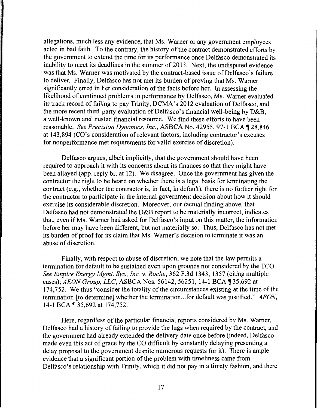allegations, much less any evidence, that Ms. Warner or any government employees acted in bad faith. To the contrary, the history of the contract demonstrated efforts by the government to extend the time for its performance once Delfasco demonstrated its inability to meet its deadlines in the summer of 2013. Next, the undisputed evidence was that Ms. Warner was motivated by the contract-based issue of Delfasco's failure to deliver. Finally, Delfasco has not met its burden of proving that Ms. Warner significantly erred in her consideration of the facts before her. In assessing the likelihood of continued problems in performance by Delfasco, Ms. Warner evaluated its track record of failing to pay Trinity, DCMA's 2012 evaluation of Delfasco, and the more recent third-party evaluation of Delfasco's financial well-being by D&B, a well-known and trusted financial resource. We find these efforts to have been reasonable. *See Precision Dynamics, Inc., ASBCA No.* 42955, 97-1 BCA 128,846 at 143,894 (CO's consideration of relevant factors, including contractor's excuses for nonperformance met requirements for valid exercise of discretion).

Delfasco argues, albeit implicitly, that the government should have been required to approach it with its concerns about its finances so that they might have been allayed (app. reply br. at 12). We disagree. Once the government has given the contractor the right to be heard on whether there is a legal basis for terminating the contract (e.g., whether the contractor is, in fact, in default), there is no further right for the contractor to participate in the internal government decision about how it should exercise its considerable discretion. Moreover, our factual finding above, that Delfasco had not demonstrated the D&B report to be materially incorrect, indicates that, even if Ms. Warner had asked for Delfasco's input on this matter, the information before her may have been different, but not materially so. Thus, Delfasco has not met its burden of proof for its claim that Ms. Warner's decision to terminate it was an abuse of discretion.

Finally, with respect to abuse of discretion, we note that the law permits a termination for default to be sustained even upon grounds not considered by the TCO. *See Empire Energy Mgmt. Sys., Inc.* v. *Roche,* 362 F.3d 1343, 1357 (citing multiple cases); *AEON Group, LLC*, ASBCA Nos. 56142, 56251, 14-1 BCA 135,692 at 174,752. We thus "consider the totality of the circumstances existing at the time of the termination [to determine] whether the termination ... for default was justified." *AEON,*  14-1 BCA 135,692 at 174,752.

Here, regardless of the particular financial reports considered by Ms. Warner, Delfasco had a history of failing to provide the lugs when required by the contract, and the government had already extended the delivery date once before (indeed, Delfasco made even this act of grace by the CO difficult by constantly delaying presenting a delay proposal to the government despite numerous requests for it). There is ample evidence that a significant portion of the problem with timeliness came from Delfasco's relationship with Trinity, which it did not pay in a timely fashion, and there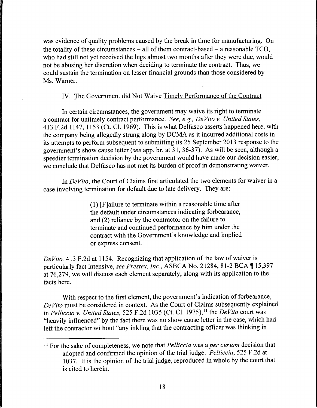was evidence of quality problems caused by the break in time for manufacturing. On the totality of these circumstances  $-$  all of them contract-based  $-$  a reasonable TCO, who had still not yet received the lugs almost two months after they were due, would not be abusing her discretion when deciding to terminate the contract. Thus, we could sustain the termination on lesser financial grounds than those considered by Ms. Warner.

### IV. The Government did Not Waive Timely Performance of the Contract

In certain circumstances, the government may waive its right to terminate a contract for untimely contract performance. *See, e.g., De Vito v. United States,*  413 F.2d 1147, 1153 (Ct. Cl. 1969). This is what Delfasco asserts happened here, with the company being allegedly strung along by DCMA as it incurred additional costs in its attempts to perform subsequent to submitting its 25 September 2013 response to the government's show cause letter *(see* app. br. at 31, 36-37). As will be seen, although a speedier termination decision by the government would have made our decision easier, we conclude that Delfasco has not met its burden of proof in demonstrating waiver.

In *De Vito,* the Court of Claims first articulated the two elements for waiver in a case involving termination for default due to late delivery. They are:

> (1) [F]ailure to terminate within a reasonable time after the default under circumstances indicating forbearance, and (2) reliance by the contractor on the failure to terminate and continued performance by him under the contract with the Government's knowledge and implied or express consent.

*De Vito,* 413 F.2d at 1154. Recognizing that application of the law of waiver is particularly fact intensive, see Prestex, Inc., ASBCA No. 21284, 81-2 BCA 15,397 at 76,279, we will discuss each element separately, along with its application to the facts here.

With respect to the first element, the government's indication of forbearance, *De Vito* must be considered in context. As the Court of Claims subsequently explained in *Pelliccia v. United States,* 525 F.2d 1035 (Ct. Cl. 1975), 11 the *De Vito* court was "heavily influenced" by the fact there was no show cause letter in the case, which had left the contractor without "any inkling that the contracting officer was thinking in

<sup>11</sup>For the sake of completeness, we note that *Pelliccia* was a *per curiam* decision that adopted and confirmed the opinion of the trial judge. *Pelliccia,* 525 F .2d at 1037. It is the opinion of the trial judge, reproduced in whole by the court that is cited to herein.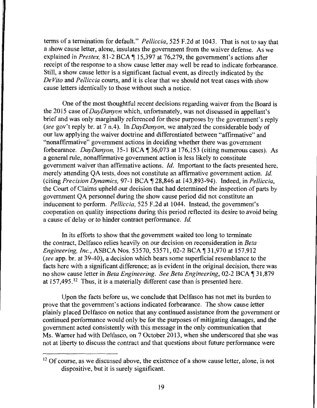terms of a termination for default." *Pelliccia,* 525 F.2d at 1043. That is not to say that a show cause letter, alone, insulates the government from the waiver defense. As we explained in *Prestex*, 81-2 BCA | 15,397 at 76,279, the government's actions after receipt of the response to a show cause letter may well be read to indicate forbearance. Still, a show cause letter is a significant factual event, as directly indicated by the *De Vito* and *Pelliccia* courts, and it is clear that we should not treat cases with show cause letters identically to those without such a notice.

One of the most thoughtful recent decisions regarding waiver from the Board is the 2015 case of *DayDanyon* which, unfortunately, was not discussed in appellant's brief and was only marginally referenced for these purposes by the government's reply *(see* gov't reply br. at 7 n.4). In *DayDanyon,* we analyzed the considerable body of our law applying the waiver doctrine and differentiated between "affirmative" and "nonaffirmative" government actions in deciding whether there was government forbearance. *DayDanyon*, 15-1 BCA 1 36,073 at 176,153 (citing numerous cases). As a general rule, nonaffirmative government action is less likely to constitute government waiver than affirmative actions. *Id.* Important to the facts presented here, merely attending QA tests, does not constitute an affirmative government action. *Id.*  (citing *Precision Dynamics*, 97-1 BCA 128,846 at 143,893-94). Indeed, in *Pelliccia*, the Court of Claims upheld our decision that had determined the inspection of parts by government QA personnel during the show cause period did not constitute an inducement to perform. *Pelliccia,* 525 F.2d at 1044. Instead, the government's cooperation on quality inspections during this period reflected its desire to avoid being a cause of delay or to hinder contract performance. *Id.* 

In its efforts to show that the government waited too long to terminate the contract, Delfasco relies heavily on our decision on reconsideration in *Beta Engineering, Inc., ASBCA Nos. 53570, 53571, 02-2 BCA* 131,970 at 157,912 *(see* app. br. at 39-40), a decision which bears some superficial resemblance to the facts here with a significant difference; as is evident in the original decision, there was no show cause letter in *Beta Engineering. See Beta Engineering*, 02-2 BCA 131,879 at  $157,495$ .<sup>12</sup> Thus, it is a materially different case than is presented here.

Upon the facts before us, we conclude that Delfasco has not met its burden to prove that the government's actions indicated forbearance. The show cause letter plainly placed Delfasco on notice that any continued assistance from the government or continued performance would only be for the purposes of mitigating damages, and the government acted consistently with this message in the only communication that Ms. Warner had with Delfasco, on 7 October 2013, when she underscored that she was not at liberty to discuss the contract and that questions about future performance were

<sup>&</sup>lt;sup>12</sup> Of course, as we discussed above, the existence of a show cause letter, alone, is not dispositive, but it is surely significant.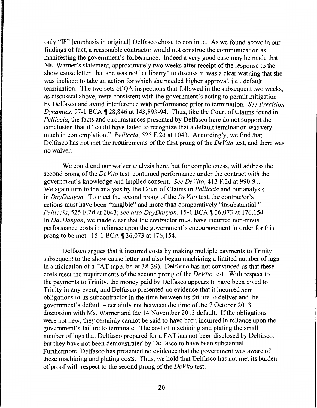only "IF" [emphasis in original] Delfasco chose to continue. As we found above in our findings of fact, a reasonable contractor would not construe the communication as manifesting the government's forbearance. Indeed a very good case may be made that Ms. Warner's statement, approximately two weeks after receipt of the response to the show cause letter, that she was not "at liberty" to discuss it, was a clear warning that she was inclined to take an action for which she needed higher approval, i.e., default termination. The two sets of QA inspections that followed in the subsequent two weeks, as discussed above, were consistent with the government's acting to permit mitigation by Delfasco and avoid interference with performance prior to termination. *See Precision Dynamics*, 97-1 BCA \# 28,846 at 143,893-94. Thus, like the Court of Claims found in *Pelliccia,* the facts and circumstances presented by Delfasco here do not support the conclusion that it "could have failed to recognize that a default termination was very much in contemplation." *Pelliccia,* 525 F.2d at 1043. Accordingly, we find that Delfasco has not met the requirements of the first prong of the *De Vito* test, and there was no waiver.

We could end our waiver analysis here, but for completeness, will address the second prong of the *De Vito* test, continued performance under the contract with the government's knowledge and implied consent. *See De Vito,* 413 F.2d at 990-91. We again tum to the analysis by the Court of Claims in *Pelliccia* and our analysis in *DayDanyon.* To meet the second prong of the *De Vito* test, the contractor's actions must have been "tangible" and more than comparatively "insubstantial." *Pelliccia,* 525 F.2d at 1043; *see also DayDanyon,* 15-1BCA~36,073 at 176,154. In *DayDanyon,* we made clear that the contractor must have incurred non-trivial performance costs in reliance upon the government's encouragement in order for this prong to be met. 15-1 BCA ¶ 36,073 at 176,154.

Delfasco argues that it incurred costs by making multiple payments to Trinity subsequent to the show cause letter and also began machining a limited number of lugs in anticipation of a FAT (app. br. at 38-39). Delfasco has not convinced us that these costs meet the requirements of the second prong of the *De Vito* test. With respect to the payments to Trinity, the money paid by Delfasco appears to have been owed to Trinity in any event, and Delfasco presented no evidence that it incurred *new*  obligations to its subcontractor in the time between its failure to deliver and the government's default – certainly not between the time of the  $7$  October 2013 discussion with Ms. Warner and the 14 November 2013 default. If the obligations were not new, they certainly cannot be said to have been incurred in reliance upon the government's failure to terminate. The cost of machining and plating the small number of lugs that Delfasco prepared for a FAT has not been disclosed by Delfasco, but they have not been demonstrated by Delfasco to have been substantial. Furthermore, Delfasco has presented no evidence that the government was aware of these machining and plating costs. Thus, we hold that Delfasco has not met its burden of proof with respect to the second prong of the *De Vito* test.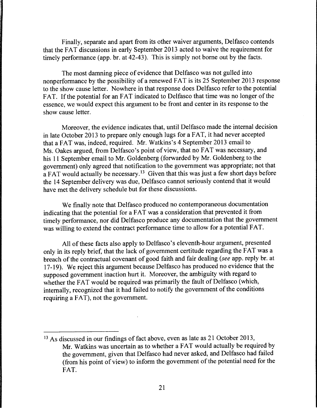Finally, separate and apart from its other waiver arguments, Delfasco contends that the FAT discussions in early September 2013 acted to waive the requirement for timely performance (app. br. at 42-43). This is simply not borne out by the facts.

The most damning piece of evidence that Delfasco was not gulled into nonperformance by the possibility of a renewed FAT is its 25 September 2013 response to the show cause letter. Nowhere in that response does Delfasco refer to the potential FAT. If the potential for an FAT indicated to Delfasco that time was no longer of the essence, we would expect this argument to be front and center in its response to the show cause letter.

Moreover, the evidence indicates that, until Delfasco made the internal decision in late October 2013 to prepare only enough lugs for a FAT, it had never accepted that a FAT was, indeed, required. Mr. Watkins's 4 September 2013 email to Ms. Oakes argued, from Delfasco's point of view, that no FAT was necessary, and his 11 September email to Mr. Goldenberg (forwarded by Mr. Goldenberg to the government) only agreed that notification to the government was appropriate; not that a FAT would actually be necessary.<sup>13</sup> Given that this was just a few short days before the 14 September delivery was due, Delfasco cannot seriously contend that it would have met the delivery schedule but for these discussions.

We finally note that Delfasco produced no contemporaneous documentation indicating that the potential for a FAT was a consideration that prevented it from timely performance, nor did Delfasco produce any documentation that the government was willing to extend the contract performance time to allow for a potential FAT.

All of these facts also apply to Delfasco's eleventh-hour argument, presented only in its reply brief, that the lack of government certitude regarding the FAT was a breach of the contractual covenant of good faith and fair dealing *(see* app. reply br. at 17-19). We reject this argument because Delfasco has produced no evidence that the supposed government inaction hurt it. Moreover, the ambiguity with regard to whether the FAT would be required was primarily the fault of Delfasco (which, internally, recognized that it had failed to notify the government of the conditions requiring a FAT), not the government.

<sup>&</sup>lt;sup>13</sup> As discussed in our findings of fact above, even as late as 21 October 2013, Mr. Watkins was uncertain as to whether a FAT would actually be required by the government, given that Delfasco had never asked, and Delfasco had failed (from his point of view) to inform the government of the potential need for the FAT.